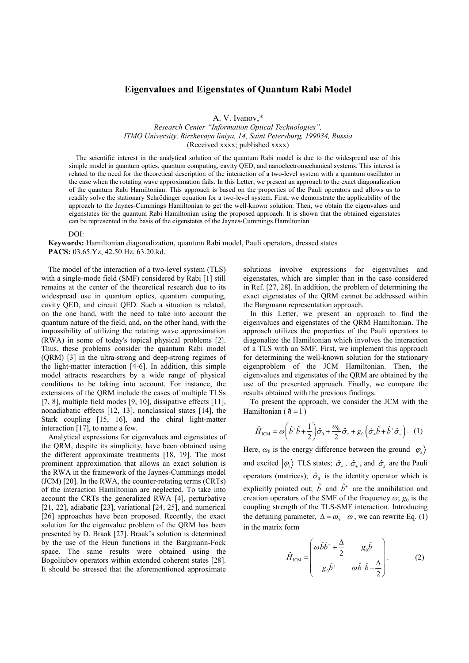## Eigenvalues and Eigenstates of Quantum Rabi Model

A. V. Ivanov,\*

*Research Center "Information Optical Technologies", ITMO University, Birzhevaya liniya, 14, Saint Petersburg, 199034, Russia* (Received xxxx; published xxxx)

The scientific interest in the analytical solution of the quantum Rabi model is due to the widespread use of this simple model in quantum optics, quantum computing, cavity QED, and nanoelectromechanical systems. This interest is related to the need for the theoretical description of the interaction of a two-level system with a quantum oscillator in the case when the rotating wave approximation fails. In this Letter, we present an approach to the exact diagonalization of the quantum Rabi Hamiltonian. This approach is based on the properties of the Pauli operators and allows us to readily solve the stationary Schrödinger equation for a two-level system. First, we demonstrate the applicability of the approach to the Jaynes-Cummings Hamiltonian to get the well-known solution. Then, we obtain the eigenvalues and eigenstates for the quantum Rabi Hamiltonian using the proposed approach. It is shown that the obtained eigenstates can be represented in the basis of the eigenstates of the Jaynes-Cummings Hamiltonian.

## DOI:

Keywords: Hamiltonian diagonalization, quantum Rabi model, Pauli operators, dressed states PACS: 03.65.Yz, 42.50.Hz, 63.20.kd.

The model of the interaction of a two-level system (TLS) with a single-mode field (SMF) considered by Rabi [1] still remains at the center of the theoretical research due to its widespread use in quantum optics, quantum computing, cavity QED, and circuit QED. Such a situation is related, on the one hand, with the need to take into account the quantum nature of the field, and, on the other hand, with the impossibility of utilizing the rotating wave approximation (RWA) in some of today's topical physical problems [2]. Thus, these problems consider the quantum Rabi model (QRM) [3] in the ultra-strong and deep-strong regimes of the light-matter interaction [4-6]. In addition, this simple model attracts researchers by a wide range of physical conditions to be taking into account. For instance, the extensions of the QRM include the cases of multiple TLSs [7, 8], multiple field modes [9, 10], dissipative effects [11], nonadiabatic effects [12, 13], nonclassical states [14], the Stark coupling [15, 16], and the chiral light-matter interaction [17], to name a few.

Analytical expressions for eigenvalues and eigenstates of the QRM, despite its simplicity, have been obtained using the different approximate treatments [18, 19]. The most prominent approximation that allows an exact solution is the RWA in the framework of the Jaynes-Cummings model (JCM) [20]. In the RWA, the counter-rotating terms (CRTs) of the interaction Hamiltonian are neglected. To take into account the CRTs the generalized RWA [4], perturbative [21, 22], adiabatic [23], variational [24, 25], and numerical [26] approaches have been proposed. Recently, the exact solution for the eigenvalue problem of the QRM has been presented by D. Braak [27]. Braak's solution is determined by the use of the Heun functions in the Bargmann-Fock space. The same results were obtained using the Bogoliubov operators within extended coherent states [28]. It should be stressed that the aforementioned approximate solutions involve expressions for eigenvalues and eigenstates, which are simpler than in the case considered in Ref. [27, 28]. In addition, the problem of determining the exact eigenstates of the QRM cannot be addressed within the Bargmann representation approach.

In this Letter, we present an approach to find the eigenvalues and eigenstates of the QRM Hamiltonian. The approach utilizes the properties of the Pauli operators to diagonalize the Hamiltonian which involves the interaction of a TLS with an SMF. First, we implement this approach for determining the well-known solution for the stationary eigenproblem of the JCM Hamiltonian. Then, the eigenvalues and eigenstates of the QRM are obtained by the use of the presented approach. Finally, we compare the results obtained with the previous findings.

To present the approach, we consider the JCM with the Hamiltonian ( $\hbar$  = 1)

$$
\hat{H}_{\text{JCM}} = \omega \bigg( \hat{b}^+ \hat{b} + \frac{1}{2} \bigg) \hat{\sigma}_0 + \frac{\omega_0}{2} \hat{\sigma}_z + g_0 \bigg( \hat{\sigma}_+ \hat{b} + \hat{b}^+ \hat{\sigma}_- \bigg). \tag{1}
$$

Here,  $\omega_0$  is the energy difference between the ground  $|\varphi_2\rangle$ and excited  $|\varphi_1\rangle$  TLS states;  $\hat{\sigma}_z$ ,  $\hat{\sigma}_+$ , and  $\hat{\sigma}_z$  are the Pauli operators (matrices);  $\hat{\sigma}_0$  is the identity operator which is explicitly pointed out;  $\hat{b}$  and  $\hat{b}^+$  are the annihilation and creation operators of the SMF of the frequency  $\omega$ ;  $g_0$  is the coupling strength of the TLS-SMF interaction. Introducing the detuning parameter,  $\Delta = \omega_0 - \omega$ , we can rewrite Eq. (1) in the matrix form

$$
\hat{H}_{\text{JCM}} = \begin{pmatrix} \omega \hat{b} \hat{b}^+ + \frac{\Delta}{2} & g_0 \hat{b} \\ g_0 \hat{b}^+ & \omega \hat{b}^+ \hat{b} - \frac{\Delta}{2} \end{pmatrix} . \tag{2}
$$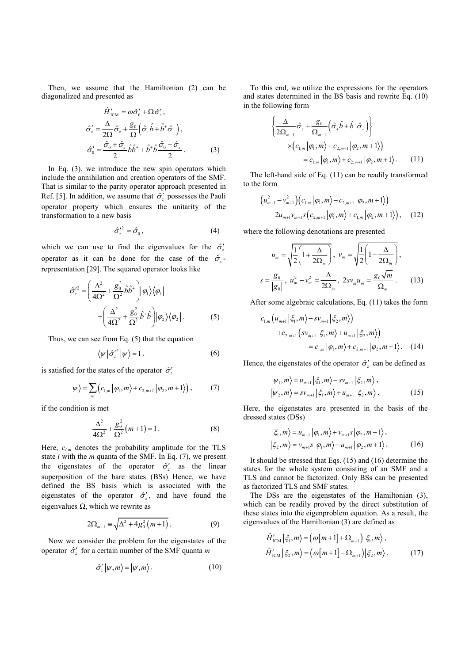Then, we assume that the Hamiltonian (2) can be diagonalized and presented as

$$
\hat{H}'_{\text{ICM}} = \omega \hat{\sigma}'_0 + \Omega \hat{\sigma}'_z,
$$
  

$$
\hat{\sigma}'_z = \frac{\Delta}{2\Omega} \hat{\sigma}_z + \frac{g_0}{\Omega} \left( \hat{\sigma}_+ \hat{b} + \hat{b}^+ \hat{\sigma}_- \right),
$$
  

$$
\hat{\sigma}'_0 = \frac{\hat{\sigma}_0 + \hat{\sigma}_z}{2} \hat{b} \hat{b}^+ + \hat{b}^+ \hat{b} \frac{\hat{\sigma}_0 - \hat{\sigma}_z}{2}.
$$
 (3)

In Eq.  $(3)$ , we introduce the new spin operators which include the annihilation and creation operators of the SMF. That is similar to the parity operator approach presented in Ref. [5]. In addition, we assume that  $\hat{\sigma}'_z$  possesses the Pauli operator property which ensures the unitarity of the transformation to a new basis

$$
\hat{\sigma}_z^{\prime 2} = \hat{\sigma}_0 \,, \tag{4}
$$

which we can use to find the eigenvalues for the  $\hat{\sigma}_z$ operator as it can be done for the case of the  $\hat{\sigma}_z$ representation [29]. The squared operator looks like

$$
\hat{\sigma}_z^{\prime 2} = \left(\frac{\Delta^2}{4\Omega^2} + \frac{g_0^2}{\Omega^2} \hat{b} \hat{b}^+\right) |\varphi_1\rangle \langle \varphi_1|
$$
  
+ 
$$
\left(\frac{\Delta^2}{4\Omega^2} + \frac{g_0^2}{\Omega^2} \hat{b}^+ \hat{b}\right) |\varphi_2\rangle \langle \varphi_2|.
$$
 (5)

Thus, we can see from Eq. (5) that the equation

$$
\langle \psi | \hat{\sigma}_z^{\prime 2} | \psi \rangle = 1, \qquad (6)
$$

is satisfied for the states of the operator  $\hat{\sigma}'_z$ 

$$
|\psi\rangle = \sum_{m} \left( c_{1,m} | \varphi_1, m \rangle + c_{2,m+1} | \varphi_2, m+1 \rangle \right), \tag{7}
$$

if the condition is met

$$
\frac{\Delta^2}{4\Omega^2} + \frac{g_0^2}{\Omega^2} (m+1) = 1.
$$
 (8)

Here,  $c_{i,m}$  denotes the probability amplitude for the TLS state *i* with the *m* quanta of the SMF. In Eq. (7), we present the eigenstates of the operator  $\hat{\sigma}'_z$  as the linear superposition of the bare states (BSs) Hence, we have defined the BS basis which is associated with the eigenstates of the operator  $\hat{\sigma}'_z$ , and have found the eigenvalues *Ω*, which we rewrite as

$$
2\Omega_{m+1} \equiv \sqrt{\Delta^2 + 4g_0^2 (m+1)}\,. \tag{9}
$$

Now we consider the problem for the eigenstates of the operator  $\hat{\sigma}'_z$  for a certain number of the SMF quanta *m* 

$$
\hat{\sigma}_z' | \psi, m \rangle = | \psi, m \rangle. \tag{10}
$$

To this end, we utilize the expressions for the operators and states determined in the BS basis and rewrite Eq. (10) in the following form

$$
\begin{aligned}\n&\left\{\frac{\Delta}{2\Omega_{m+1}}\hat{\sigma}_z + \frac{g_0}{\Omega_{m+1}}\left(\hat{\sigma}_+\hat{b} + \hat{b}^+\hat{\sigma}_-\right)\right\} \\
&\times \left(c_{1,m}|\varphi_1, m\right) + c_{2,m+1}|\varphi_2, m+1\rangle) \\
&= c_{1,m}|\varphi_1, m\right\rangle + c_{2,m+1}|\varphi_2, m+1\rangle.\n\end{aligned} \tag{11}
$$

The left-hand side of Eq. (11) can be readily transformed to the form

$$
\left(u_{m+1}^{2}-v_{m+1}^{2}\right)\left(c_{1,m}\left|\varphi_{1},m\right\rangle-c_{2,m+1}\left|\varphi_{2},m+1\right\rangle\right) +2u_{m+1}v_{m+1}s\left(c_{2,m+1}\left|\varphi_{1},m\right\rangle+c_{1,m}\left|\varphi_{2},m+1\right\rangle\right),\quad(12)
$$

where the following denotations are presented

$$
u_m = \sqrt{\frac{1}{2}\left(1 + \frac{\Delta}{2\Omega_m}\right)}, \quad v_m = \sqrt{\frac{1}{2}\left(1 - \frac{\Delta}{2\Omega_m}\right)},
$$

$$
s = \frac{g_0}{|g_0|}, \quad u_m^2 - v_m^2 = \frac{\Delta}{2\Omega_m}, \quad 2sv_m u_m = \frac{g_0\sqrt{m}}{\Omega_m}.
$$
(13)

After some algebraic calculations, Eq. (11) takes the form

$$
c_{1,m} (u_{m+1} | \xi_1, m \rangle - s v_{m+1} | \xi_2, m \rangle)
$$
  
+ 
$$
c_{2,m+1} (s v_{m+1} | \xi_1, m \rangle + u_{m+1} | \xi_2, m \rangle)
$$
  
= 
$$
c_{1,m} |\varphi_1, m \rangle + c_{2,m+1} |\varphi_2, m + 1 \rangle. \quad (14)
$$

Hence, the eigenstates of the operator  $\hat{\sigma}'_z$  can be defined as

$$
\begin{aligned} \left| \psi_1, m \right\rangle &= u_{m+1} \left| \xi_1, m \right\rangle - s v_{m+1} \left| \xi_2, m \right\rangle, \\ \left| \psi_2, m \right\rangle &= s v_{m+1} \left| \xi_1, m \right\rangle + u_{m+1} \left| \xi_2, m \right\rangle. \end{aligned} \tag{15}
$$

Here, the eigenstates are presented in the basis of the dressed states (DSs)

$$
\begin{aligned} \left| \xi_1, m \right\rangle &= u_{m+1} \left| \varphi_1, m \right\rangle + v_{m+1} s \left| \varphi_2, m+1 \right\rangle, \\ \left| \xi_2, m \right\rangle &= v_{m+1} s \left| \varphi_1, m \right\rangle - u_{m+1} \left| \varphi_2, m+1 \right\rangle. \end{aligned} \tag{16}
$$

It should be stressed that Eqs. (15) and (16) determine the states for the whole system consisting of an SMF and a TLS and cannot be factorized. Only BSs can be presented as factorized TLS and SMF states.

The DSs are the eigenstates of the Hamiltonian (3), which can be readily proved by the direct substitution of these states into the eigenproblem equation. As a result, the eigenvalues of the Hamiltonian (3) are defined as

$$
\hat{H}'_{\text{ICM}} \left| \xi_1, m \right\rangle = \left( \omega \left[ m + 1 \right] + \Omega_{m+1} \right) \left| \xi_1, m \right\rangle,
$$
\n
$$
\hat{H}'_{\text{ICM}} \left| \xi_2, m \right\rangle = \left( \omega \left[ m + 1 \right] - \Omega_{m+1} \right) \left| \xi_2, m \right\rangle. \tag{17}
$$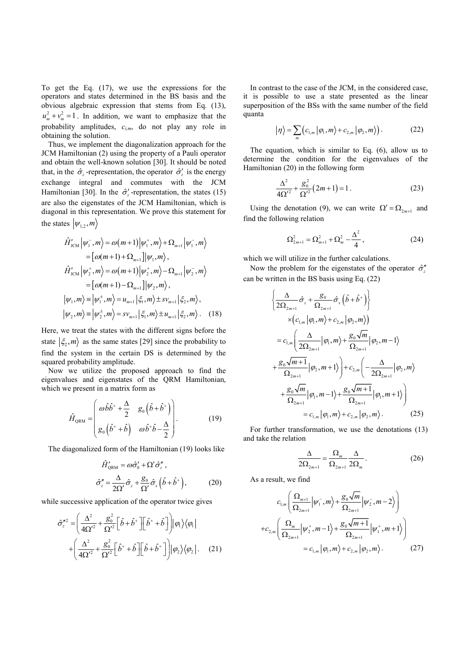To get the Eq. (17), we use the expressions for the operators and states determined in the BS basis and the obvious algebraic expression that stems from Eq. (13),  $u_m^2 + v_m^2 = 1$ . In addition, we want to emphasize that the probability amplitudes, *ci,m*, do not play any role in obtaining the solution.

Thus, we implement the diagonalization approach for the JCM Hamiltonian (2) using the property of a Pauli operator and obtain the well-known solution [30]. It should be noted that, in the  $\hat{\sigma}_z$ -representation, the operator  $\hat{\sigma}_z$  is the energy exchange integral and commutes with the JCM Hamiltonian [30]. In the  $\hat{\sigma}'_z$ -representation, the states (15) are also the eigenstates of the JCM Hamiltonian, which is diagonal in this representation. We prove this statement for the states  $|\psi_{1,2}, m\rangle$ 

$$
\hat{H}'_{\text{ICM}} \left| \psi_1^-, m \right\rangle = \omega(m+1) \left| \psi_1^+, m \right\rangle + \Omega_{m+1} \left| \psi_1^-, m \right\rangle \n= \left[ \omega(m+1) + \Omega_{m+1} \right] \left| \psi_1, m \right\rangle, \n\hat{H}'_{\text{ICM}} \left| \psi_2^+, m \right\rangle = \omega(m+1) \left| \psi_2^+, m \right\rangle - \Omega_{m+1} \left| \psi_2^-, m \right\rangle \n= \left[ \omega(m+1) - \Omega_{m+1} \right] \left| \psi_2, m \right\rangle, \n\left| \psi_1, m \right\rangle = \left| \psi_1^+, m \right\rangle = u_{m+1} \left| \xi_1, m \right\rangle \pm s v_{m+1} \left| \xi_2, m \right\rangle, \n\left| \psi_2, m \right\rangle = \left| \psi_2^+, m \right\rangle = s v_{m+1} \left| \xi_1, m \right\rangle \pm u_{m+1} \left| \xi_2, m \right\rangle. \tag{18}
$$

Here, we treat the states with the different signs before the state  $\langle \xi_2, m \rangle$  as the same states [29] since the probability to find the system in the certain DS is determined by the squared probability amplitude.

Now we utilize the proposed approach to find the eigenvalues and eigenstates of the QRM Hamiltonian, which we present in a matrix form as

$$
\hat{H}_{\text{QRM}} = \begin{pmatrix} \omega \hat{b} \hat{b}^+ + \frac{\Delta}{2} & g_0 \left( \hat{b} + \hat{b}^+ \right) \\ g_0 \left( \hat{b}^+ + \hat{b} \right) & \omega \hat{b}^+ \hat{b} - \frac{\Delta}{2} \end{pmatrix} . \tag{19}
$$

The diagonalized form of the Hamiltonian (19) looks like

$$
\hat{H}'_{\text{QRM}} = \omega \hat{\sigma}'_0 + \Omega' \hat{\sigma}''_z, \n\hat{\sigma}''_z = \frac{\Delta}{2\Omega'} \hat{\sigma}_z + \frac{g_0}{\Omega'} \hat{\sigma}_x \left( \hat{b} + \hat{b}^+ \right),
$$
\n(20)

while successive application of the operator twice gives

$$
\hat{\sigma}_z^{n2} = \left(\frac{\Delta^2}{4\Omega'^2} + \frac{g_0^2}{\Omega'^2} \left[\hat{b} + \hat{b}^+\right] \left[\hat{b}^+ + \hat{b}\right]\right) |\varphi_1\rangle\langle\varphi_1|
$$

$$
+ \left(\frac{\Delta^2}{4\Omega'^2} + \frac{g_0^2}{\Omega'^2} \left[\hat{b}^+ + \hat{b}\right] \left[\hat{b} + \hat{b}^+\right]\right) |\varphi_2\rangle\langle\varphi_2|.
$$
 (21)

In contrast to the case of the JCM, in the considered case, it is possible to use a state presented as the linear superposition of the BSs with the same number of the field quanta

$$
|\eta\rangle = \sum_{m} \left( c_{1,m} | \varphi_1, m \rangle + c_{2,m} | \varphi_2, m \rangle \right). \tag{22}
$$

The equation, which is similar to Eq. (6), allow us to determine the condition for the eigenvalues of the Hamiltonian (20) in the following form

$$
\frac{\Delta^2}{4\Omega^2} + \frac{g_0^2}{\Omega^2} (2m+1) = 1.
$$
 (23)

Using the denotation (9), we can write  $\Omega' = \Omega_{2m+1}$  and find the following relation

$$
\Omega_{2m+1}^2 = \Omega_{m+1}^2 + \Omega_m^2 - \frac{\Delta^2}{4},\qquad(24)
$$

which we will utilize in the further calculations.

Now the problem for the eigenstates of the operator  $\hat{\sigma}^r_z$ can be written in the BS basis using Eq. (22)

$$
\begin{aligned}\n&\left\{\frac{\Delta}{2\Omega_{2m+1}}\hat{\sigma}_{z}+\frac{g_{0}}{\Omega_{2m+1}}\hat{\sigma}_{x}\left(\hat{b}+\hat{b}^{+}\right)\right\} \\
&\times\left(c_{1,m}\left|\varphi_{1},m\right\rangle+c_{2,m}\left|\varphi_{2},m\right\rangle)\n\end{aligned}
$$
\n
$$
=c_{1,m}\left(\frac{\Delta}{2\Omega_{2m+1}}\left|\varphi_{1},m\right\rangle+\frac{g_{0}\sqrt{m}}{\Omega_{2m+1}}\left|\varphi_{2},m-1\right\rangle\n+ \frac{g_{0}\sqrt{m+1}}{\Omega_{2m+1}}\left|\varphi_{2},m+1\right\rangle\right)+c_{2,m}\left(-\frac{\Delta}{2\Omega_{2m+1}}\left|\varphi_{2},m\right\rangle\n+ \frac{g_{0}\sqrt{m}}{\Omega_{2m+1}}\left|\varphi_{1},m-1\right\rangle+\frac{g_{0}\sqrt{m+1}}{\Omega_{2m+1}}\left|\varphi_{1},m+1\right\rangle\n\end{aligned}
$$
\n
$$
=c_{1,m}\left|\varphi_{1},m\right\rangle+c_{2,m}\left|\varphi_{2},m\right\rangle.\tag{25}
$$

For further transformation, we use the denotations (13) and take the relation

$$
\frac{\Delta}{2\Omega_{2m+1}} = \frac{\Omega_m}{\Omega_{2m+1}} \frac{\Delta}{2\Omega_m}.
$$
 (26)

As a result, we find

$$
c_{1,m} \left( \frac{\Omega_{m+1}}{\Omega_{2m+1}} \Big| \psi_1^-, m \rangle + \frac{g_0 \sqrt{m}}{\Omega_{2m+1}} \Big| \psi_2^-, m - 2 \rangle \right)
$$
  
+
$$
c_{2,m} \left( \frac{\Omega_m}{\Omega_{2m+1}} \Big| \psi_2^+, m - 1 \rangle + \frac{g_0 \sqrt{m+1}}{\Omega_{2m+1}} \Big| \psi_1^+, m + 1 \rangle \right)
$$
  
= 
$$
c_{1,m} \Big| \varphi_1, m \rangle + c_{2,m} \Big| \varphi_2, m \rangle. \tag{27}
$$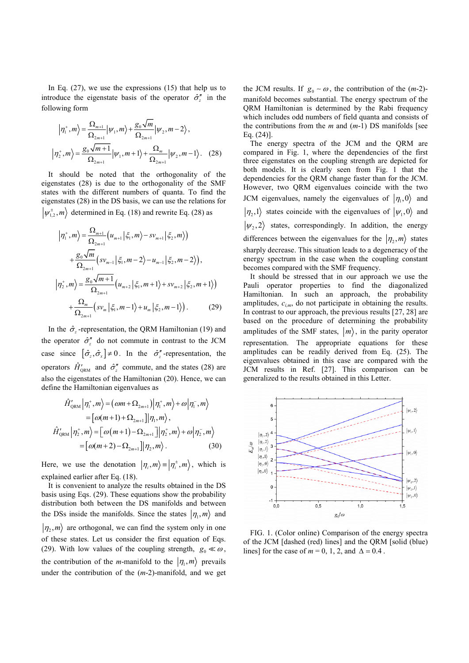In Eq.  $(27)$ , we use the expressions  $(15)$  that help us to introduce the eigenstate basis of the operator  $\hat{\sigma}^{\prime\prime}$  in the following form

$$
\left|\eta_{1}^{+},m\right\rangle = \frac{\Omega_{m+1}}{\Omega_{2m+1}}\left|\psi_{1},m\right\rangle + \frac{g_{0}\sqrt{m}}{\Omega_{2m+1}}\left|\psi_{2},m-2\right\rangle,
$$
  

$$
\left|\eta_{2}^{+},m\right\rangle = \frac{g_{0}\sqrt{m+1}}{\Omega_{2m+1}}\left|\psi_{1},m+1\right\rangle + \frac{\Omega_{m}}{\Omega_{2m+1}}\left|\psi_{2},m-1\right\rangle.
$$
 (28)

It should be noted that the orthogonality of the eigenstates (28) is due to the orthogonality of the SMF states with the different numbers of quanta. To find the eigenstates (28) in the DS basis, we can use the relations for  $|\psi_{12}^{\pm},m\rangle$  determined in Eq. (18) and rewrite Eq. (28) as

$$
\left|\eta_{1}^{+},m\right\rangle = \frac{\Omega_{m+1}}{\Omega_{2m+1}}\left(u_{m+1}|\xi_{1},m\right\rangle - sv_{m+1}|\xi_{2},m\rangle\right) + \frac{g_{0}\sqrt{m}}{\Omega_{2m+1}}\left(sv_{m-1}|\xi_{1},m-2\rangle - u_{m-1}|\xi_{2},m-2\rangle\right), \n\left|\eta_{2}^{+},m\right\rangle = \frac{g_{0}\sqrt{m+1}}{\Omega_{2m+1}}\left(u_{m+2}|\xi_{1},m+1\rangle + sv_{m+2}|\xi_{2},m+1\rangle\right) + \frac{\Omega_{m}}{\Omega_{2m+1}}\left(sv_{m}|\xi_{1},m-1\rangle + u_{m}|\xi_{2},m-1\rangle\right).
$$
 (29)

In the  $\hat{\sigma}_z$ -representation, the QRM Hamiltonian (19) and the operator  $\hat{\sigma}^{\prime\prime}$  do not commute in contrast to the JCM case since  $\left[\hat{\sigma}_z, \hat{\sigma}_x\right] \neq 0$ . In the  $\hat{\sigma}_z$ <sup>*r*</sup>-representation, the operators  $\hat{H}_{\text{QRM}}'$  and  $\hat{\sigma}_z''$  commute, and the states (28) are also the eigenstates of the Hamiltonian (20). Hence, we can define the Hamiltonian eigenvalues as

$$
\hat{H}'_{\text{QRM}} \left| \eta_1^+, m \right\rangle = \left( \omega m + \Omega_{2m+1} \right) \left| \eta_1^+, m \right\rangle + \omega \left| \eta_1^-, m \right\rangle
$$
\n
$$
= \left[ \omega (m+1) + \Omega_{2m+1} \right] \left| \eta_1, m \right\rangle,
$$
\n
$$
\hat{H}'_{\text{QRM}} \left| \eta_2^+, m \right\rangle = \left[ \omega (m+1) - \Omega_{2m+1} \right] \left| \eta_2^+, m \right\rangle + \omega \left| \eta_2^-, m \right\rangle
$$
\n
$$
= \left[ \omega (m+2) - \Omega_{2m+1} \right] \left| \eta_2, m \right\rangle. \tag{30}
$$

Here, we use the denotation  $|\eta_i, m\rangle = |\eta_i^{\pm}, m\rangle$ , which is explained earlier after Eq. (18).

It is convenient to analyze the results obtained in the DS basis using Eqs. (29). These equations show the probability distribution both between the DS manifolds and between the DSs inside the manifolds. Since the states  $| \eta_1, m \rangle$  and  $|\eta_2,m\rangle$  are orthogonal, we can find the system only in one of these states. Let us consider the first equation of Eqs. (29). With low values of the coupling strength,  $g_0 \ll \omega$ , the contribution of the *m*-manifold to the  $|\eta_1, m\rangle$  prevails under the contribution of the (*m*-2)-manifold, and we get the JCM results. If  $g_0 \sim \omega$ , the contribution of the  $(m-2)$ manifold becomes substantial. The energy spectrum of the QRM Hamiltonian is determined by the Rabi frequency which includes odd numbers of field quanta and consists of the contributions from the *m* and (*m*-1) DS manifolds [see Eq. (24)].

The energy spectra of the JCM and the QRM are compared in Fig. 1, where the dependencies of the first three eigenstates on the coupling strength are depicted for both models. It is clearly seen from Fig. 1 that the dependencies for the QRM change faster than for the JCM. However, two QRM eigenvalues coincide with the two JCM eigenvalues, namely the eigenvalues of  $|\eta_1, 0\rangle$  and  $|\eta_2,1\rangle$  states coincide with the eigenvalues of  $|\psi_1,0\rangle$  and  $|\psi_2, 2\rangle$  states, correspondingly. In addition, the energy differences between the eigenvalues for the  $|\eta_2, m\rangle$  states sharply decrease. This situation leads to a degeneracy of the energy spectrum in the case when the coupling constant becomes compared with the SMF frequency.

It should be stressed that in our approach we use the Pauli operator properties to find the diagonalized Hamiltonian. In such an approach, the probability amplitudes,  $c_{i,m}$ , do not participate in obtaining the results. In contrast to our approach, the previous results [27, 28] are based on the procedure of determining the probability amplitudes of the SMF states,  $|m\rangle$ , in the parity operator representation. The appropriate equations for these amplitudes can be readily derived from Eq. (25). The eigenvalues obtained in this case are compared with the JCM results in Ref. [27]. This comparison can be generalized to the results obtained in this Letter.



FIG. 1. (Color online) Comparison of the energy spectra of the JCM [dashed (red) lines] and the QRM [solid (blue) lines] for the case of  $m = 0, 1, 2,$  and  $\Delta = 0.4$ .